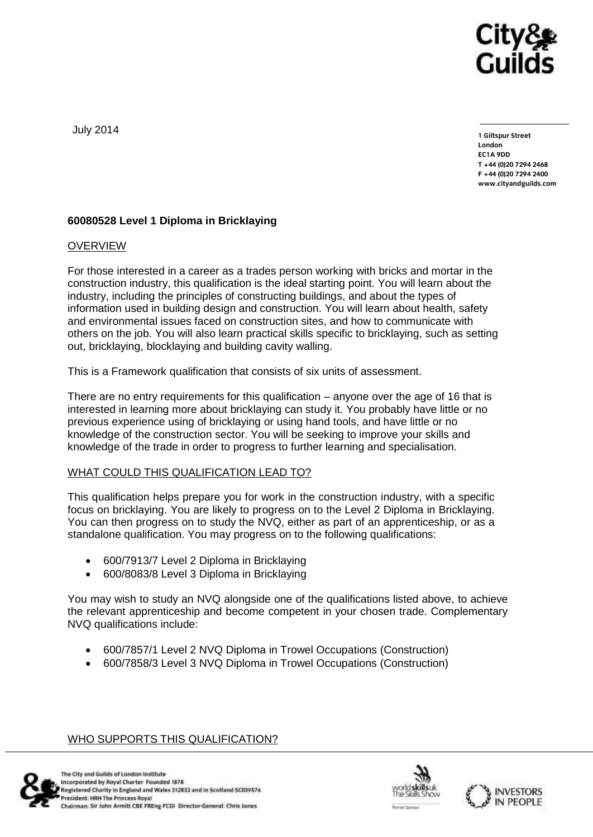

July 2014

**1 Giltspur Street EC1A 9DD**  $T + 44 (0)20 7294 2468$ **T +44 (0)20 7294 246[8](http://www.cityandguilds.com/) F +44 (0)20 7294 2400 [www.cityandguilds.com](http://www.cityandguilds.com/)**

## **60080528 Level 1 Diploma in Bricklaying**

## **OVERVIEW**

For those interested in a career as a trades person working with bricks and mortar in the construction industry, this qualification is the ideal starting point. You will learn about the industry, including the principles of constructing buildings, and about the types of information used in building design and construction. You will learn about health, safety and environmental issues faced on construction sites, and how to communicate with others on the job. You will also learn practical skills specific to bricklaying, such as setting out, bricklaying, blocklaying and building cavity walling.

This is a Framework qualification that consists of six units of assessment.

There are no entry requirements for this qualification – anyone over the age of 16 that is interested in learning more about bricklaying can study it. You probably have little or no previous experience using of bricklaying or using hand tools, and have little or no knowledge of the construction sector. You will be seeking to improve your skills and knowledge of the trade in order to progress to further learning and specialisation.

## WHAT COULD THIS QUALIFICATION LEAD TO?

This qualification helps prepare you for work in the construction industry, with a specific focus on bricklaying. You are likely to progress on to the Level 2 Diploma in Bricklaying. You can then progress on to study the NVQ, either as part of an apprenticeship, or as a standalone qualification. You may progress on to the following qualifications:

- 600/7913/7 Level 2 Diploma in Bricklaying
- 600/8083/8 Level 3 Diploma in Bricklaying

You may wish to study an NVQ alongside one of the qualifications listed above, to achieve the relevant apprenticeship and become competent in your chosen trade. Complementary NVQ qualifications include:

- 600/7857/1 Level 2 NVQ Diploma in Trowel Occupations (Construction)
- 600/7858/3 Level 3 NVQ Diploma in Trowel Occupations (Construction)

## WHO SUPPORTS THIS QUALIFICATION?